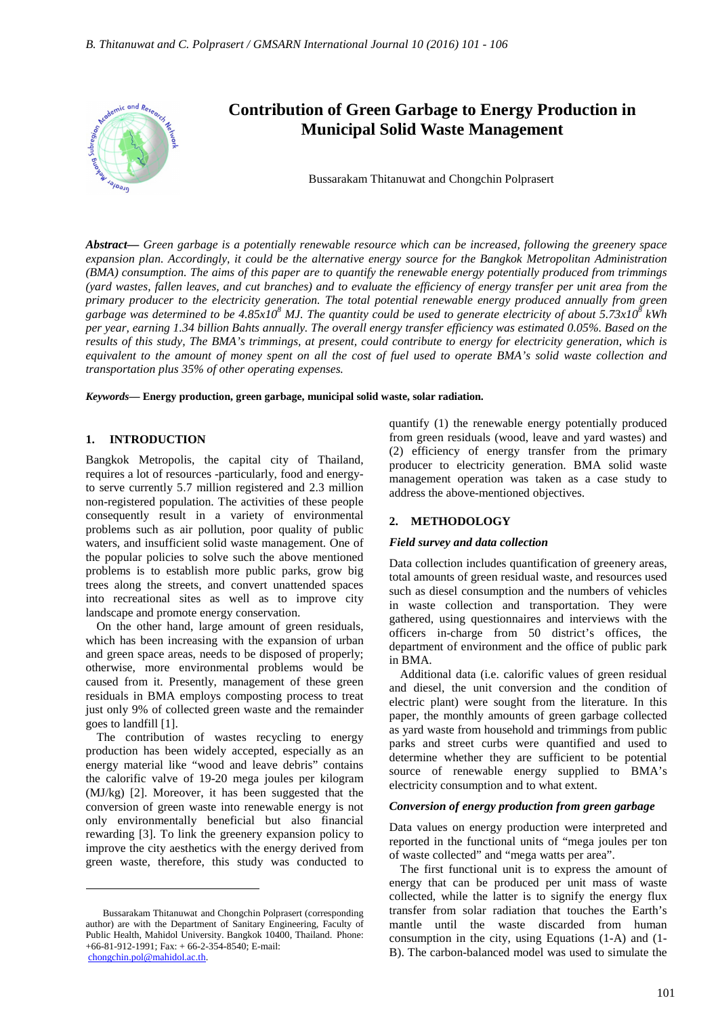

*Abstract***—** *Green garbage is a potentially renewable resource which can be increased, following the greenery space expansion plan. Accordingly, it could be the alternative energy source for the Bangkok Metropolitan Administration (BMA) consumption. The aims of this paper are to quantify the renewable energy potentially produced from trimmings (yard wastes, fallen leaves, and cut branches) and to evaluate the efficiency of energy transfer per unit area from the primary producer to the electricity generation. The total potential renewable energy produced annually from green*  garbage was determined to be  $4.85x10^8$  MJ. The quantity could be used to generate electricity of about 5.73x10<sup>8</sup> kWh *per year, earning 1.34 billion Bahts annually. The overall energy transfer efficiency was estimated 0.05%. Based on the results of this study, The BMA's trimmings, at present, could contribute to energy for electricity generation, which is equivalent to the amount of money spent on all the cost of fuel used to operate BMA's solid waste collection and transportation plus 35% of other operating expenses.*

*Keywords***— Energy production, green garbage, municipal solid waste, solar radiation.**

#### **1. INTRODUCTION**

Bangkok Metropolis, the capital city of Thailand, requires a lot of resources -particularly, food and energyto serve currently 5.7 million registered and 2.3 million non-registered population. The activities of these people consequently result in a variety of environmental problems such as air pollution, poor quality of public waters, and insufficient solid waste management. One of the popular policies to solve such the above mentioned problems is to establish more public parks, grow big trees along the streets, and convert unattended spaces into recreational sites as well as to improve city landscape and promote energy conservation.

On the other hand, large amount of green residuals, which has been increasing with the expansion of urban and green space areas, needs to be disposed of properly; otherwise, more environmental problems would be caused from it. Presently, management of these green residuals in BMA employs composting process to treat just only 9% of collected green waste and the remainder goes to landfill [1].

The contribution of wastes recycling to energy production has been widely accepted, especially as an energy material like "wood and leave debris" contains the calorific valve of 19-20 mega joules per kilogram (MJ/kg) [2]. Moreover, it has been suggested that the conversion of green waste into renewable energy is not only environmentally beneficial but also financial rewarding [3]. To link the greenery expansion policy to improve the city aesthetics with the energy derived from green waste, therefore, this study was conducted to

 $\overline{a}$ 

quantify (1) the renewable energy potentially produced from green residuals (wood, leave and yard wastes) and (2) efficiency of energy transfer from the primary producer to electricity generation. BMA solid waste management operation was taken as a case study to address the above-mentioned objectives.

# **2. METHODOLOGY**

## *Field survey and data collection*

Data collection includes quantification of greenery areas, total amounts of green residual waste, and resources used such as diesel consumption and the numbers of vehicles in waste collection and transportation. They were gathered, using questionnaires and interviews with the officers in-charge from 50 district's offices, the department of environment and the office of public park in BMA.

Additional data (i.e. calorific values of green residual and diesel, the unit conversion and the condition of electric plant) were sought from the literature. In this paper, the monthly amounts of green garbage collected as yard waste from household and trimmings from public parks and street curbs were quantified and used to determine whether they are sufficient to be potential source of renewable energy supplied to BMA's electricity consumption and to what extent.

## *Conversion of energy production from green garbage*

Data values on energy production were interpreted and reported in the functional units of "mega joules per ton of waste collected" and "mega watts per area".

The first functional unit is to express the amount of energy that can be produced per unit mass of waste collected, while the latter is to signify the energy flux transfer from solar radiation that touches the Earth's mantle until the waste discarded from human consumption in the city, using Equations (1-A) and (1- B). The carbon-balanced model was used to simulate the

Bussarakam Thitanuwat and Chongchin Polprasert (corresponding author) are with the Department of Sanitary Engineering, Faculty of Public Health, Mahidol University. Bangkok 10400, Thailand. Phone: +66-81-912-1991; Fax: + 66-2-354-8540; E-mail: chongchin.pol@mahidol.ac.th.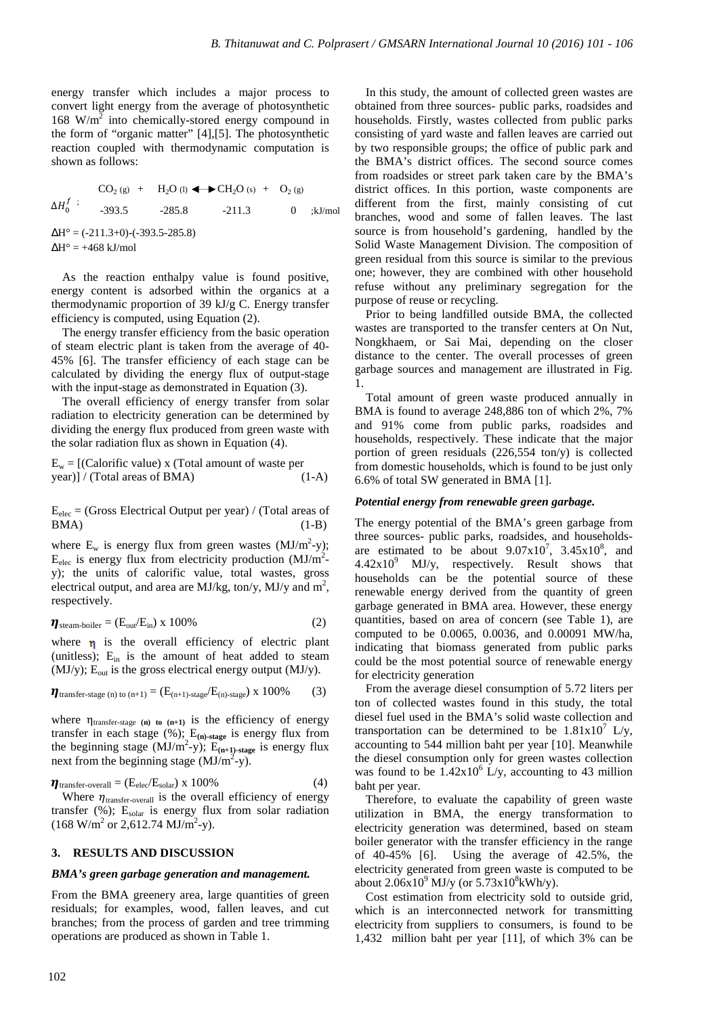energy transfer which includes a major process to convert light energy from the average of photosynthetic 168  $W/m^2$  into chemically-stored energy compound in the form of "organic matter" [4],[5]. The photosynthetic reaction coupled with thermodynamic computation is shown as follows:

 $CO_{2}$  (g) + (g) +  $H_2O(1)$   $\longleftrightarrow$  CH<sub>2</sub>O(s) + O<sub>2(g)</sub>  $\Delta H_0^f$  ;  $-393.5$   $-285.8$   $-211.3$  0  $\cdot$ kJ/mol  $\Delta H^{\circ} = (-211.3+0)$ - $(-393.5-285.8)$  $\Delta H^{\circ} = +468$  kJ/mol

As the reaction enthalpy value is found positive, energy content is adsorbed within the organics at a thermodynamic proportion of 39 kJ/g C. Energy transfer efficiency is computed, using Equation (2).

The energy transfer efficiency from the basic operation of steam electric plant is taken from the average of 40- 45% [6]. The transfer efficiency of each stage can be calculated by dividing the energy flux of output-stage with the input-stage as demonstrated in Equation (3).

The overall efficiency of energy transfer from solar radiation to electricity generation can be determined by dividing the energy flux produced from green waste with the solar radiation flux as shown in Equation (4).

$$
E_w = [(\text{Calorific value}) x (\text{Total amount of waste per year})] / (\text{Total areas of BMA}) \tag{1-A}
$$

 $E_{elec}$  = (Gross Electrical Output per year) / (Total areas of  $BMA)$  (1-B)

where  $E_w$  is energy flux from green wastes  $(MJ/m^2-y)$ ;  $E_{elec}$  is energy flux from electricity production (MJ/m<sup>2</sup>y); the units of calorific value, total wastes, gross electrical output, and area are MJ/kg, ton/y, MJ/y and  $m^2$ , respectively.

$$
\eta_{\text{steam-boiler}} = (E_{\text{out}}/E_{\text{in}}) \times 100\%
$$
 (2)

where  $\eta$  is the overall efficiency of electric plant (unitless);  $E_{in}$  is the amount of heat added to steam (MJ/y);  $E_{\text{out}}$  is the gross electrical energy output (MJ/y).

$$
\eta_{\text{transfer-stage (n) to (n+1)}} = (E_{(n+1)\text{-stage}}/E_{(n)\text{-stage}}) \times 100\% \tag{3}
$$

where  $\eta_{\text{transfer-stage (n) to (n+1)}}$  is the efficiency of energy transfer in each stage (%); E**(n)-stage** is energy flux from the beginning stage  $(MJ/m^2-y)$ ;  $E_{(n+1)\text{-stage}}$  is energy flux next from the beginning stage  $(MJ/m^2-y)$ .

$$
\eta_{\text{transfer-overall}} = (E_{\text{elec}}/E_{\text{solar}}) \times 100\%
$$
 (4)

Where  $\eta_{\text{transfer-overall}}$  is the overall efficiency of energy transfer  $(\%)$ ; E<sub>solar</sub> is energy flux from solar radiation  $(168 \text{ W/m}^2 \text{ or } 2,612.74 \text{ MJ/m}^2\text{-y}).$ 

## **3. RESULTS AND DISCUSSION**

#### *BMA's green garbage generation and management.*

From the BMA greenery area, large quantities of green residuals; for examples, wood, fallen leaves, and cut branches; from the process of garden and tree trimming operations are produced as shown in Table 1.

In this study, the amount of collected green wastes are obtained from three sources- public parks, roadsides and households. Firstly, wastes collected from public parks consisting of yard waste and fallen leaves are carried out by two responsible groups; the office of public park and the BMA's district offices. The second source comes from roadsides or street park taken care by the BMA's district offices. In this portion, waste components are different from the first, mainly consisting of cut branches, wood and some of fallen leaves. The last source is from household's gardening, handled by the Solid Waste Management Division. The composition of green residual from this source is similar to the previous one; however, they are combined with other household refuse without any preliminary segregation for the purpose of reuse or recycling.

Prior to being landfilled outside BMA, the collected wastes are transported to the transfer centers at On Nut, Nongkhaem, or Sai Mai, depending on the closer distance to the center. The overall processes of green garbage sources and management are illustrated in Fig. 1.

Total amount of green waste produced annually in BMA is found to average 248,886 ton of which 2%, 7% and 91% come from public parks, roadsides and households, respectively. These indicate that the major portion of green residuals (226,554 ton/y) is collected from domestic households, which is found to be just only 6.6% of total SW generated in BMA [1].

#### *Potential energy from renewable green garbage.*

The energy potential of the BMA's green garbage from three sources- public parks, roadsides, and householdsare estimated to be about  $9.07 \times 10^7$ ,  $3.45 \times 10^8$ , and  $4.42x10<sup>9</sup>$  MJ/y, respectively. Result shows that households can be the potential source of these renewable energy derived from the quantity of green garbage generated in BMA area. However, these energy quantities, based on area of concern (see Table 1), are computed to be 0.0065, 0.0036, and 0.00091 MW/ha, indicating that biomass generated from public parks could be the most potential source of renewable energy for electricity generation

From the average diesel consumption of 5.72 liters per ton of collected wastes found in this study, the total diesel fuel used in the BMA's solid waste collection and transportation can be determined to be  $1.81x10^7$  L/y, accounting to 544 million baht per year [10]. Meanwhile the diesel consumption only for green wastes collection was found to be  $1.42x10^6$  L/y, accounting to 43 million baht per year.

Therefore, to evaluate the capability of green waste utilization in BMA, the energy transformation to electricity generation was determined, based on steam boiler generator with the transfer efficiency in the range of 40-45% [6]. Using the average of 42.5%, the electricity generated from green waste is computed to be about  $2.06x10^9$  MJ/y (or  $5.73x10^8$ kWh/y).

Cost estimation from electricity sold to outside grid, which is an interconnected network for transmitting electricity from suppliers to consumers, is found to be 1,432 million baht per year [11], of which 3% can be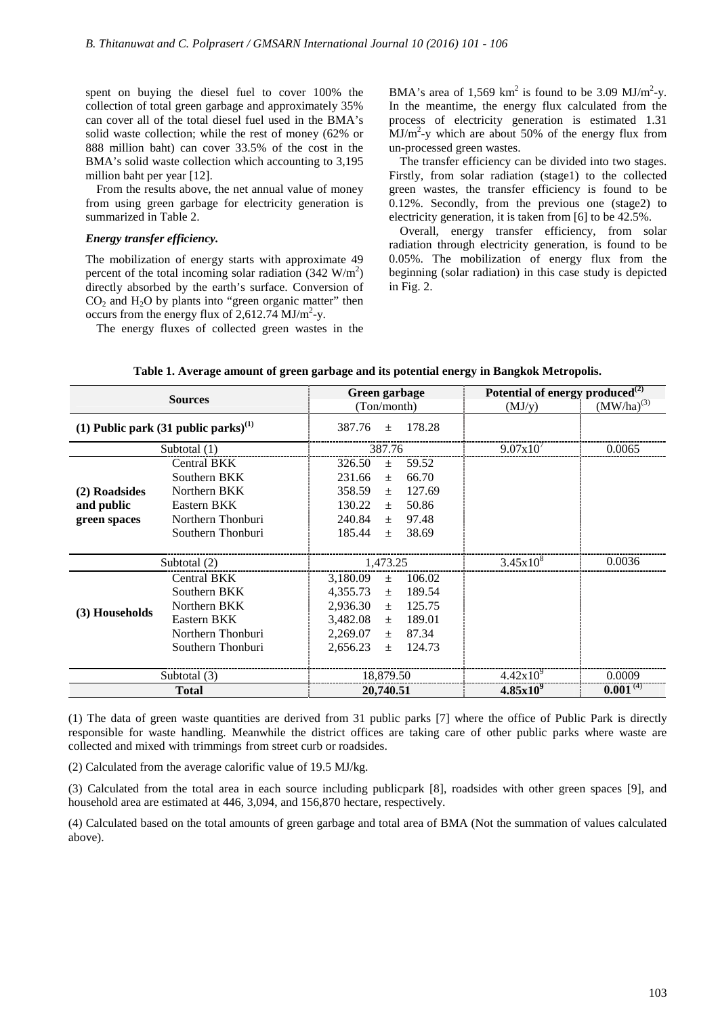spent on buying the diesel fuel to cover 100% the collection of total green garbage and approximately 35% can cover all of the total diesel fuel used in the BMA's solid waste collection; while the rest of money (62% or 888 million baht) can cover 33.5% of the cost in the BMA's solid waste collection which accounting to 3,195 million baht per year [12].

From the results above, the net annual value of money from using green garbage for electricity generation is summarized in Table 2.

## *Energy transfer efficiency.*

The mobilization of energy starts with approximate 49 percent of the total incoming solar radiation  $(342 \text{ W/m}^2)$ directly absorbed by the earth's surface. Conversion of  $CO<sub>2</sub>$  and  $H<sub>2</sub>O$  by plants into "green organic matter" then occurs from the energy flux of  $2,612.74$  MJ/m<sup>2</sup>-y.

The energy fluxes of collected green wastes in the

BMA's area of 1,569  $km^2$  is found to be 3.09 MJ/m<sup>2</sup>-y. In the meantime, the energy flux calculated from the process of electricity generation is estimated 1.31  $MJ/m^2$ -y which are about 50% of the energy flux from un-processed green wastes.

The transfer efficiency can be divided into two stages. Firstly, from solar radiation (stage1) to the collected green wastes, the transfer efficiency is found to be 0.12%. Secondly, from the previous one (stage2) to electricity generation, it is taken from [6] to be 42.5%.

Overall, energy transfer efficiency, from solar radiation through electricity generation, is found to be 0.05%. The mobilization of energy flux from the beginning (solar radiation) in this case study is depicted in Fig. 2.

| <b>Sources</b>                                    |                    | Green garbage               | Potential of energy produced $^{(2)}$ |                 |
|---------------------------------------------------|--------------------|-----------------------------|---------------------------------------|-----------------|
|                                                   |                    | (Ton/month)                 | (MJ/y)                                | $(MW/ha)^{(3)}$ |
| (1) Public park $(31 \text{ public parks})^{(1)}$ |                    | 178.28<br>387.76<br>$\pm$   |                                       |                 |
| Subtotal $(1)$                                    |                    | 387.76                      | 9.07x10'                              | 0.0065          |
| (2) Roadsides<br>and public<br>green spaces       | Central BKK        | 326.50<br>59.52<br>$+$      |                                       |                 |
|                                                   | Southern BKK       | 66.70<br>231.66<br>$+$      |                                       |                 |
|                                                   | Northern BKK       | 127.69<br>358.59<br>$+$     |                                       |                 |
|                                                   | Eastern BKK        | 130.22<br>50.86<br>$+$      |                                       |                 |
|                                                   | Northern Thonburi  | 240.84<br>97.48<br>$+$      |                                       |                 |
|                                                   | Southern Thonburi  | 185.44<br>38.69<br>$+$      |                                       |                 |
| Subtotal (2)                                      |                    | 1,473.25                    | $3.45x10^{8}$                         | 0.0036          |
|                                                   | <b>Central BKK</b> | 3,180.09<br>106.02<br>$+$   |                                       |                 |
| (3) Households                                    | Southern BKK       | 4,355.73<br>189.54<br>$\pm$ |                                       |                 |
|                                                   | Northern BKK       | 2,936.30<br>125.75<br>$+$   |                                       |                 |
|                                                   | Eastern BKK        | 3,482.08<br>189.01<br>$+$   |                                       |                 |
|                                                   | Northern Thonburi  | 2,269.07<br>87.34<br>$\pm$  |                                       |                 |
|                                                   | Southern Thonburi  | 2,656.23<br>124.73<br>$\pm$ |                                       |                 |
| Subtotal (3)                                      |                    | 18,879.50                   | $4.42x10^{9}$                         | 0.0009          |
| <b>Total</b>                                      |                    | 20,740.51                   | $4.85x10^{9}$                         | $0.001^{(4)}$   |

### **Table 1. Average amount of green garbage and its potential energy in Bangkok Metropolis.**

(1) The data of green waste quantities are derived from 31 public parks [7] where the office of Public Park is directly responsible for waste handling. Meanwhile the district offices are taking care of other public parks where waste are collected and mixed with trimmings from street curb or roadsides.

(2) Calculated from the average calorific value of 19.5 MJ/kg.

(3) Calculated from the total area in each source including publicpark [8], roadsides with other green spaces [9], and household area are estimated at 446, 3,094, and 156,870 hectare, respectively.

(4) Calculated based on the total amounts of green garbage and total area of BMA (Not the summation of values calculated above).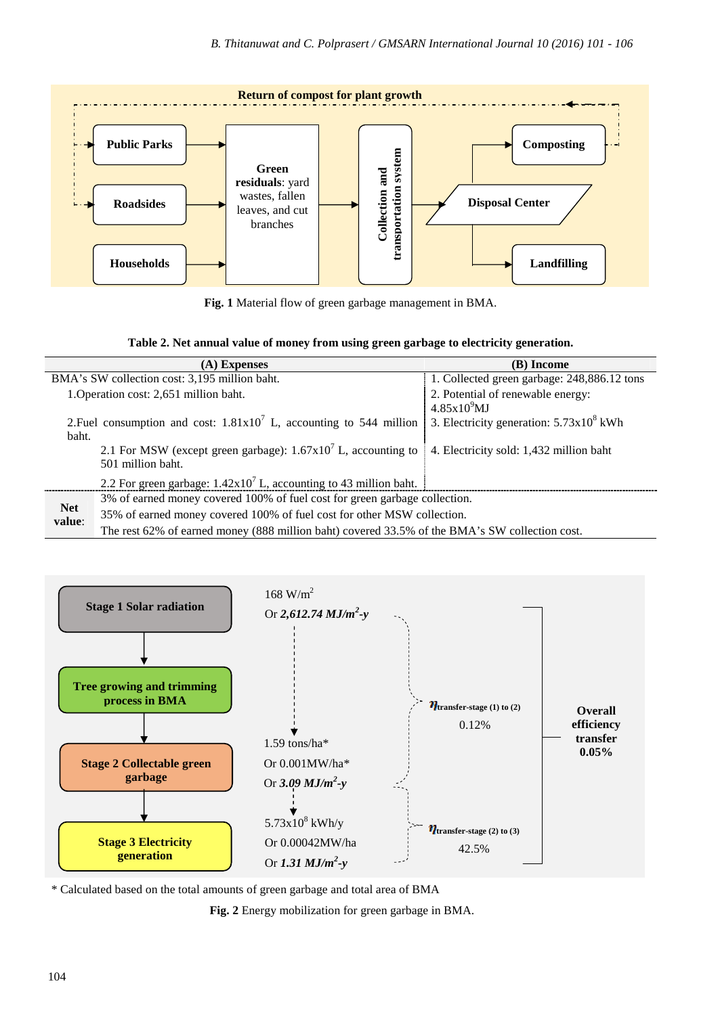

**Fig. 1** Material flow of green garbage management in BMA.

| (A) Expenses                                                                  |                                                                                                | (B) Income                                        |  |  |
|-------------------------------------------------------------------------------|------------------------------------------------------------------------------------------------|---------------------------------------------------|--|--|
| BMA's SW collection cost: 3,195 million baht.                                 |                                                                                                | 1. Collected green garbage: 248,886.12 tons       |  |  |
| 1. Operation cost: 2,651 million baht.                                        |                                                                                                | 2. Potential of renewable energy:                 |  |  |
|                                                                               |                                                                                                | $4.85\times10^9$ MJ                               |  |  |
| 2. Fuel consumption and cost: $1.81 \times 10^7$ L, accounting to 544 million |                                                                                                | 3. Electricity generation: $5.73 \times 10^8$ kWh |  |  |
| baht.                                                                         |                                                                                                |                                                   |  |  |
|                                                                               | 2.1 For MSW (except green garbage): $1.67 \times 10^7$ L, accounting to                        | 4. Electricity sold: 1,432 million baht           |  |  |
|                                                                               | 501 million baht.                                                                              |                                                   |  |  |
|                                                                               | 2.2 For green garbage: $1.42 \times 10^7$ L, accounting to 43 million baht.                    |                                                   |  |  |
|                                                                               | 3% of earned money covered 100% of fuel cost for green garbage collection.                     |                                                   |  |  |
| <b>Net</b><br>value:                                                          | 35% of earned money covered 100% of fuel cost for other MSW collection.                        |                                                   |  |  |
|                                                                               | The rest 62% of earned money (888 million baht) covered 33.5% of the BMA's SW collection cost. |                                                   |  |  |



\* Calculated based on the total amounts of green garbage and total area of BMA

**Fig. 2** Energy mobilization for green garbage in BMA.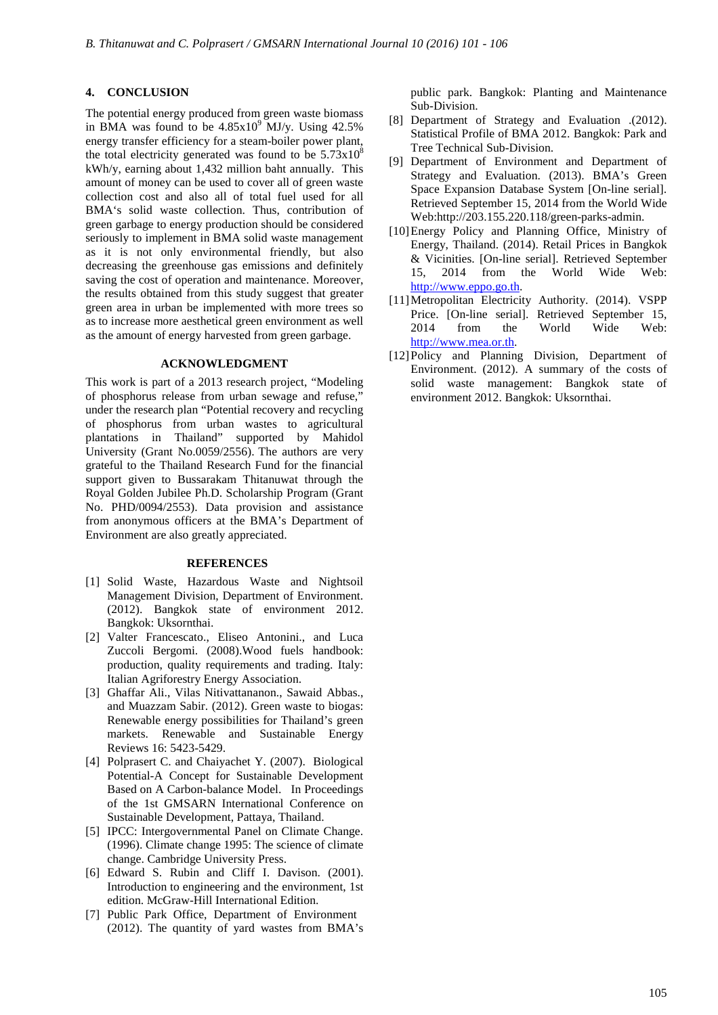# **4. CONCLUSION**

The potential energy produced from green waste biomass in BMA was found to be  $4.85 \times 10^{9}$  MJ/y. Using  $42.5\%$ energy transfer efficiency for a steam-boiler power plant, the total electricity generated was found to be  $5.73 \times 10^8$ kWh/y, earning about 1,432 million baht annually. This amount of money can be used to cover all of green waste collection cost and also all of total fuel used for all BMA's solid waste collection. Thus, contribution of green garbage to energy production should be considered seriously to implement in BMA solid waste management as it is not only environmental friendly, but also decreasing the greenhouse gas emissions and definitely saving the cost of operation and maintenance. Moreover, the results obtained from this study suggest that greater green area in urban be implemented with more trees so as to increase more aesthetical green environment as well as the amount of energy harvested from green garbage.

## **ACKNOWLEDGMENT**

This work is part of a 2013 research project, "Modeling of phosphorus release from urban sewage and refuse," under the research plan "Potential recovery and recycling of phosphorus from urban wastes to agricultural plantations in Thailand" supported by Mahidol University (Grant No.0059/2556). The authors are very grateful to the Thailand Research Fund for the financial support given to Bussarakam Thitanuwat through the Royal Golden Jubilee Ph.D. Scholarship Program (Grant No. PHD/0094/2553). Data provision and assistance from anonymous officers at the BMA's Department of Environment are also greatly appreciated.

#### **REFERENCES**

- [1] Solid Waste, Hazardous Waste and Nightsoil Management Division, Department of Environment. (2012). Bangkok state of environment 2012. Bangkok: Uksornthai.
- [2] Valter Francescato., Eliseo Antonini., and Luca Zuccoli Bergomi. (2008).Wood fuels handbook: production, quality requirements and trading. Italy: Italian Agriforestry Energy Association.
- [3] Ghaffar Ali., Vilas Nitivattananon., Sawaid Abbas., and Muazzam Sabir. (2012). Green waste to biogas: Renewable energy possibilities for Thailand's green markets. Renewable and Sustainable Energy Reviews 16: 5423-5429.
- [4] Polprasert C. and Chaiyachet Y. (2007). Biological Potential-A Concept for Sustainable Development Based on A Carbon-balance Model. In Proceedings of the 1st GMSARN International Conference on Sustainable Development, Pattaya, Thailand.
- [5] IPCC: Intergovernmental Panel on Climate Change. (1996). Climate change 1995: The science of climate change. Cambridge University Press.
- [6] Edward S. Rubin and Cliff I. Davison. (2001). Introduction to engineering and the environment, 1st edition. McGraw-Hill International Edition.
- [7] Public Park Office, Department of Environment (2012). The quantity of yard wastes from BMA's

public park. Bangkok: Planting and Maintenance Sub-Division.

- [8] Department of Strategy and Evaluation .(2012). Statistical Profile of BMA 2012. Bangkok: Park and Tree Technical Sub-Division.
- [9] Department of Environment and Department of Strategy and Evaluation. (2013). BMA's Green Space Expansion Database System [On-line serial]. Retrieved September 15, 2014 from the World Wide Web:http://203.155.220.118/green-parks-admin.
- [10]Energy Policy and Planning Office, Ministry of Energy, Thailand. (2014). Retail Prices in Bangkok & Vicinities. [On-line serial]. Retrieved September 15, 2014 from the World Wide Web: http://www.eppo.go.th.
- [11]Metropolitan Electricity Authority. (2014). VSPP Price. [On-line serial]. Retrieved September 15, 2014 from the World Wide Web: http://www.mea.or.th.
- [12]Policy and Planning Division, Department of Environment. (2012). A summary of the costs of solid waste management: Bangkok state of environment 2012. Bangkok: Uksornthai.